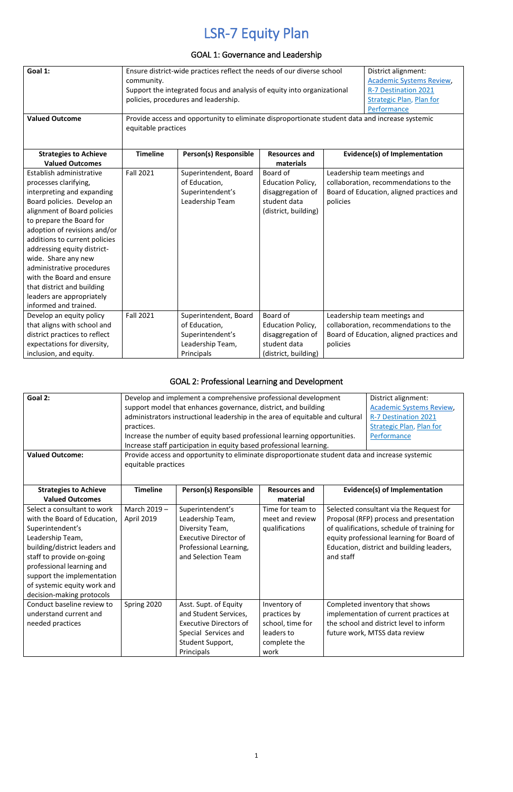1

# LSR-7 Equity Plan

# GOAL 1: Governance and Leadership

| Goal 1:<br><b>Valued Outcome</b> | Ensure district-wide practices reflect the needs of our diverse school<br>District alignment:<br><b>Academic Systems Review,</b><br>community.<br>Support the integrated focus and analysis of equity into organizational<br>R-7 Destination 2021<br>policies, procedures and leadership.<br><b>Strategic Plan, Plan for</b><br>Performance<br>Provide access and opportunity to eliminate disproportionate student data and increase systemic<br>equitable practices |                       |                          |                                           |  |  |
|----------------------------------|-----------------------------------------------------------------------------------------------------------------------------------------------------------------------------------------------------------------------------------------------------------------------------------------------------------------------------------------------------------------------------------------------------------------------------------------------------------------------|-----------------------|--------------------------|-------------------------------------------|--|--|
| <b>Strategies to Achieve</b>     | <b>Timeline</b>                                                                                                                                                                                                                                                                                                                                                                                                                                                       | Person(s) Responsible | <b>Resources and</b>     | Evidence(s) of Implementation             |  |  |
| <b>Valued Outcomes</b>           |                                                                                                                                                                                                                                                                                                                                                                                                                                                                       |                       | materials                |                                           |  |  |
| Establish administrative         | <b>Fall 2021</b>                                                                                                                                                                                                                                                                                                                                                                                                                                                      | Superintendent, Board | Board of                 | Leadership team meetings and              |  |  |
| processes clarifying,            |                                                                                                                                                                                                                                                                                                                                                                                                                                                                       | of Education,         | <b>Education Policy,</b> | collaboration, recommendations to the     |  |  |
| interpreting and expanding       |                                                                                                                                                                                                                                                                                                                                                                                                                                                                       | Superintendent's      | disaggregation of        | Board of Education, aligned practices and |  |  |
| Board policies. Develop an       |                                                                                                                                                                                                                                                                                                                                                                                                                                                                       | Leadership Team       | student data             | policies                                  |  |  |
| alignment of Board policies      |                                                                                                                                                                                                                                                                                                                                                                                                                                                                       |                       | (district, building)     |                                           |  |  |
| to prepare the Board for         |                                                                                                                                                                                                                                                                                                                                                                                                                                                                       |                       |                          |                                           |  |  |
| adoption of revisions and/or     |                                                                                                                                                                                                                                                                                                                                                                                                                                                                       |                       |                          |                                           |  |  |
| additions to current policies    |                                                                                                                                                                                                                                                                                                                                                                                                                                                                       |                       |                          |                                           |  |  |
| addressing equity district-      |                                                                                                                                                                                                                                                                                                                                                                                                                                                                       |                       |                          |                                           |  |  |
| wide. Share any new              |                                                                                                                                                                                                                                                                                                                                                                                                                                                                       |                       |                          |                                           |  |  |
| administrative procedures        |                                                                                                                                                                                                                                                                                                                                                                                                                                                                       |                       |                          |                                           |  |  |
| with the Board and ensure        |                                                                                                                                                                                                                                                                                                                                                                                                                                                                       |                       |                          |                                           |  |  |
| that district and building       |                                                                                                                                                                                                                                                                                                                                                                                                                                                                       |                       |                          |                                           |  |  |
| leaders are appropriately        |                                                                                                                                                                                                                                                                                                                                                                                                                                                                       |                       |                          |                                           |  |  |
| informed and trained.            |                                                                                                                                                                                                                                                                                                                                                                                                                                                                       |                       |                          |                                           |  |  |
| Develop an equity policy         | <b>Fall 2021</b>                                                                                                                                                                                                                                                                                                                                                                                                                                                      | Superintendent, Board | Board of                 | Leadership team meetings and              |  |  |
| that aligns with school and      |                                                                                                                                                                                                                                                                                                                                                                                                                                                                       | of Education,         | <b>Education Policy,</b> | collaboration, recommendations to the     |  |  |
| district practices to reflect    |                                                                                                                                                                                                                                                                                                                                                                                                                                                                       | Superintendent's      | disaggregation of        | Board of Education, aligned practices and |  |  |
| expectations for diversity,      | Leadership Team,<br>student data<br>policies                                                                                                                                                                                                                                                                                                                                                                                                                          |                       |                          |                                           |  |  |
| inclusion, and equity.           | Principals<br>(district, building)                                                                                                                                                                                                                                                                                                                                                                                                                                    |                       |                          |                                           |  |  |

# GOAL 2: Professional Learning and Development

| Goal 2:                                                                                                                                                                                                                                                                                  | Develop and implement a comprehensive professional development<br>support model that enhances governance, district, and building<br>administrators instructional leadership in the area of equitable and cultural<br>practices.<br>Increase the number of equity based professional learning opportunities. |                                                                                                                                           |                                                                                        |                               | District alignment:<br><b>Academic Systems Review,</b><br>R-7 Destination 2021<br><b>Strategic Plan, Plan for</b><br>Performance                                                                                            |  |
|------------------------------------------------------------------------------------------------------------------------------------------------------------------------------------------------------------------------------------------------------------------------------------------|-------------------------------------------------------------------------------------------------------------------------------------------------------------------------------------------------------------------------------------------------------------------------------------------------------------|-------------------------------------------------------------------------------------------------------------------------------------------|----------------------------------------------------------------------------------------|-------------------------------|-----------------------------------------------------------------------------------------------------------------------------------------------------------------------------------------------------------------------------|--|
| <b>Valued Outcome:</b>                                                                                                                                                                                                                                                                   | Increase staff participation in equity based professional learning.<br>Provide access and opportunity to eliminate disproportionate student data and increase systemic                                                                                                                                      |                                                                                                                                           |                                                                                        |                               |                                                                                                                                                                                                                             |  |
|                                                                                                                                                                                                                                                                                          | equitable practices                                                                                                                                                                                                                                                                                         |                                                                                                                                           |                                                                                        |                               |                                                                                                                                                                                                                             |  |
| <b>Strategies to Achieve</b><br><b>Valued Outcomes</b>                                                                                                                                                                                                                                   | <b>Timeline</b>                                                                                                                                                                                                                                                                                             | Person(s) Responsible                                                                                                                     | <b>Resources and</b><br>material                                                       | Evidence(s) of Implementation |                                                                                                                                                                                                                             |  |
| Select a consultant to work<br>with the Board of Education,<br>Superintendent's<br>Leadership Team,<br>building/district leaders and<br>staff to provide on-going<br>professional learning and<br>support the implementation<br>of systemic equity work and<br>decision-making protocols | March 2019 -<br>April 2019                                                                                                                                                                                                                                                                                  | Superintendent's<br>Leadership Team,<br>Diversity Team,<br><b>Executive Director of</b><br>Professional Learning,<br>and Selection Team   | Time for team to<br>meet and review<br>qualifications                                  | and staff                     | Selected consultant via the Request for<br>Proposal (RFP) process and presentation<br>of qualifications, schedule of training for<br>equity professional learning for Board of<br>Education, district and building leaders, |  |
| Conduct baseline review to<br>understand current and<br>needed practices                                                                                                                                                                                                                 | Spring 2020                                                                                                                                                                                                                                                                                                 | Asst. Supt. of Equity<br>and Student Services,<br><b>Executive Directors of</b><br>Special Services and<br>Student Support,<br>Principals | Inventory of<br>practices by<br>school, time for<br>leaders to<br>complete the<br>work |                               | Completed inventory that shows<br>implementation of current practices at<br>the school and district level to inform<br>future work, MTSS data review                                                                        |  |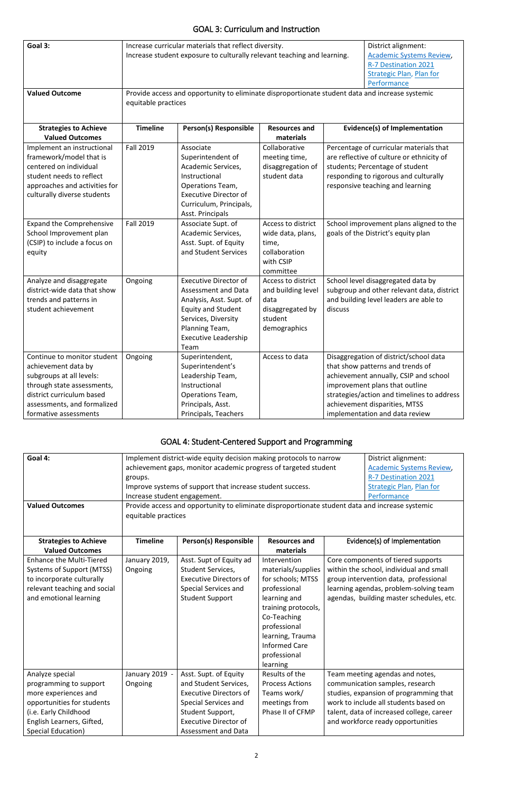#### GOAL 3: Curriculum and Instruction

| Goal 3:<br><b>Valued Outcome</b>                                                                                                                                                                  | Increase curricular materials that reflect diversity.<br>District alignment:<br>Increase student exposure to culturally relevant teaching and learning.<br><b>Academic Systems Review,</b><br>R-7 Destination 2021<br><b>Strategic Plan, Plan for</b><br>Performance<br>Provide access and opportunity to eliminate disproportionate student data and increase systemic<br>equitable practices |                                                                                                                                                                                                     |                                                                                                 |                                                                                                                                                                                                                                                                        |  |
|---------------------------------------------------------------------------------------------------------------------------------------------------------------------------------------------------|------------------------------------------------------------------------------------------------------------------------------------------------------------------------------------------------------------------------------------------------------------------------------------------------------------------------------------------------------------------------------------------------|-----------------------------------------------------------------------------------------------------------------------------------------------------------------------------------------------------|-------------------------------------------------------------------------------------------------|------------------------------------------------------------------------------------------------------------------------------------------------------------------------------------------------------------------------------------------------------------------------|--|
| <b>Strategies to Achieve</b><br><b>Valued Outcomes</b>                                                                                                                                            | <b>Timeline</b>                                                                                                                                                                                                                                                                                                                                                                                | Person(s) Responsible                                                                                                                                                                               | Evidence(s) of Implementation<br><b>Resources and</b><br>materials                              |                                                                                                                                                                                                                                                                        |  |
| Implement an instructional<br>framework/model that is<br>centered on individual<br>student needs to reflect<br>approaches and activities for<br>culturally diverse students                       | <b>Fall 2019</b>                                                                                                                                                                                                                                                                                                                                                                               | Associate<br>Superintendent of<br>Academic Services,<br>Instructional<br>Operations Team,<br><b>Executive Director of</b><br>Curriculum, Principals,<br>Asst. Principals                            | Collaborative<br>meeting time,<br>disaggregation of<br>student data                             | Percentage of curricular materials that<br>are reflective of culture or ethnicity of<br>students; Percentage of student<br>responding to rigorous and culturally<br>responsive teaching and learning                                                                   |  |
| <b>Expand the Comprehensive</b><br>School Improvement plan<br>(CSIP) to include a focus on<br>equity                                                                                              | <b>Fall 2019</b>                                                                                                                                                                                                                                                                                                                                                                               | Associate Supt. of<br>Academic Services,<br>Asst. Supt. of Equity<br>and Student Services                                                                                                           | Access to district<br>wide data, plans,<br>time,<br>collaboration<br>with CSIP<br>committee     | School improvement plans aligned to the<br>goals of the District's equity plan                                                                                                                                                                                         |  |
| Analyze and disaggregate<br>district-wide data that show<br>trends and patterns in<br>student achievement                                                                                         | Ongoing                                                                                                                                                                                                                                                                                                                                                                                        | <b>Executive Director of</b><br><b>Assessment and Data</b><br>Analysis, Asst. Supt. of<br><b>Equity and Student</b><br>Services, Diversity<br>Planning Team,<br><b>Executive Leadership</b><br>Team | Access to district<br>and building level<br>data<br>disaggregated by<br>student<br>demographics | School level disaggregated data by<br>subgroup and other relevant data, district<br>and building level leaders are able to<br>discuss                                                                                                                                  |  |
| Continue to monitor student<br>achievement data by<br>subgroups at all levels:<br>through state assessments,<br>district curriculum based<br>assessments, and formalized<br>formative assessments | Ongoing                                                                                                                                                                                                                                                                                                                                                                                        | Superintendent,<br>Superintendent's<br>Leadership Team,<br>Instructional<br>Operations Team,<br>Principals, Asst.<br>Principals, Teachers                                                           | Access to data                                                                                  | Disaggregation of district/school data<br>that show patterns and trends of<br>achievement annually, CSIP and school<br>improvement plans that outline<br>strategies/action and timelines to address<br>achievement disparities, MTSS<br>implementation and data review |  |

## GOAL 4: Student-Centered Support and Programming

| Goal 4:                          | Implement district-wide equity decision making protocols to narrow<br>District alignment:         |                                                                                                 |                        |                                          |                                           |  |
|----------------------------------|---------------------------------------------------------------------------------------------------|-------------------------------------------------------------------------------------------------|------------------------|------------------------------------------|-------------------------------------------|--|
|                                  | achievement gaps, monitor academic progress of targeted student                                   |                                                                                                 |                        |                                          | <b>Academic Systems Review,</b>           |  |
|                                  | groups.                                                                                           |                                                                                                 |                        |                                          | R-7 Destination 2021                      |  |
|                                  |                                                                                                   | Improve systems of support that increase student success.                                       |                        |                                          | <b>Strategic Plan, Plan for</b>           |  |
|                                  | Increase student engagement.                                                                      |                                                                                                 |                        |                                          | Performance                               |  |
| <b>Valued Outcomes</b>           |                                                                                                   | Provide access and opportunity to eliminate disproportionate student data and increase systemic |                        |                                          |                                           |  |
|                                  | equitable practices                                                                               |                                                                                                 |                        |                                          |                                           |  |
|                                  |                                                                                                   |                                                                                                 |                        |                                          |                                           |  |
|                                  |                                                                                                   |                                                                                                 |                        |                                          |                                           |  |
| <b>Strategies to Achieve</b>     | <b>Timeline</b><br>Person(s) Responsible<br><b>Resources and</b><br>Evidence(s) of Implementation |                                                                                                 |                        |                                          |                                           |  |
| <b>Valued Outcomes</b>           |                                                                                                   |                                                                                                 | materials              |                                          |                                           |  |
| <b>Enhance the Multi-Tiered</b>  | January 2019,                                                                                     | Asst. Supt of Equity ad                                                                         | Intervention           |                                          | Core components of tiered supports        |  |
| <b>Systems of Support (MTSS)</b> | Ongoing                                                                                           | Student Services,                                                                               | materials/supplies     | within the school, individual and small  |                                           |  |
| to incorporate culturally        |                                                                                                   | <b>Executive Directors of</b>                                                                   | for schools; MTSS      | group intervention data, professional    |                                           |  |
| relevant teaching and social     |                                                                                                   | Special Services and                                                                            | professional           | learning agendas, problem-solving team   |                                           |  |
| and emotional learning           |                                                                                                   | <b>Student Support</b>                                                                          | learning and           | agendas, building master schedules, etc. |                                           |  |
|                                  |                                                                                                   |                                                                                                 | training protocols,    |                                          |                                           |  |
|                                  |                                                                                                   |                                                                                                 | Co-Teaching            |                                          |                                           |  |
|                                  |                                                                                                   |                                                                                                 | professional           |                                          |                                           |  |
|                                  |                                                                                                   |                                                                                                 | learning, Trauma       |                                          |                                           |  |
|                                  |                                                                                                   | <b>Informed Care</b>                                                                            |                        |                                          |                                           |  |
|                                  |                                                                                                   | professional                                                                                    |                        |                                          |                                           |  |
|                                  |                                                                                                   |                                                                                                 | learning               |                                          |                                           |  |
| Analyze special                  | January 2019 -                                                                                    | Asst. Supt. of Equity                                                                           | Results of the         |                                          | Team meeting agendas and notes,           |  |
| programming to support           | Ongoing                                                                                           | and Student Services,                                                                           | <b>Process Actions</b> |                                          | communication samples, research           |  |
| more experiences and             |                                                                                                   | <b>Executive Directors of</b>                                                                   | Teams work/            |                                          | studies, expansion of programming that    |  |
| opportunities for students       | work to include all students based on<br><b>Special Services and</b><br>meetings from             |                                                                                                 |                        |                                          |                                           |  |
| (i.e. Early Childhood            |                                                                                                   | Student Support,                                                                                | Phase II of CFMP       |                                          | talent, data of increased college, career |  |
| English Learners, Gifted,        | <b>Executive Director of</b><br>and workforce ready opportunities                                 |                                                                                                 |                        |                                          |                                           |  |
| Special Education)               |                                                                                                   | <b>Assessment and Data</b>                                                                      |                        |                                          |                                           |  |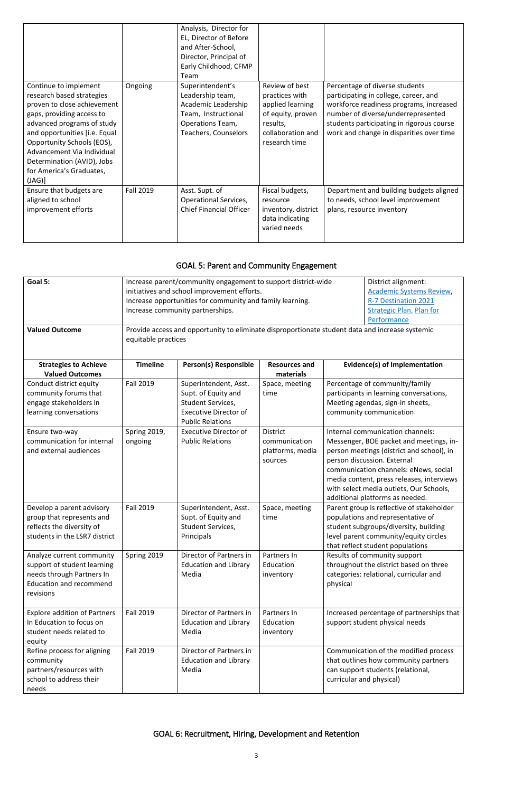|                                                                                                                                                                                                                                                                                                              |                  | Analysis, Director for<br>EL, Director of Before<br>and After-School,<br>Director, Principal of<br>Early Childhood, CFMP<br>Team |                                                                                                                             |                                                                                                                                                                                                                                                   |
|--------------------------------------------------------------------------------------------------------------------------------------------------------------------------------------------------------------------------------------------------------------------------------------------------------------|------------------|----------------------------------------------------------------------------------------------------------------------------------|-----------------------------------------------------------------------------------------------------------------------------|---------------------------------------------------------------------------------------------------------------------------------------------------------------------------------------------------------------------------------------------------|
| Continue to implement<br>research based strategies<br>proven to close achievement<br>gaps, providing access to<br>advanced programs of study<br>and opportunities [i.e. Equal<br>Opportunity Schools (EOS),<br>Advancement Via Individual<br>Determination (AVID), Jobs<br>for America's Graduates,<br>(JAG) | Ongoing          | Superintendent's<br>Leadership team,<br>Academic Leadership<br>Team, Instructional<br>Operations Team,<br>Teachers, Counselors   | Review of best<br>practices with<br>applied learning<br>of equity, proven<br>results,<br>collaboration and<br>research time | Percentage of diverse students<br>participating in college, career, and<br>workforce readiness programs, increased<br>number of diverse/underrepresented<br>students participating in rigorous course<br>work and change in disparities over time |
| Ensure that budgets are<br>aligned to school<br>improvement efforts                                                                                                                                                                                                                                          | <b>Fall 2019</b> | Asst. Supt. of<br>Operational Services,<br><b>Chief Financial Officer</b>                                                        | Fiscal budgets,<br>resource<br>inventory, district<br>data indicating<br>varied needs                                       | Department and building budgets aligned<br>to needs, school level improvement<br>plans, resource inventory                                                                                                                                        |

## GOAL 5: Parent and Community Engagement

| Goal 5:                             | Increase parent/community engagement to support district-wide<br>District alignment: |                                                                                                 |                      |                                           |                                           |  |
|-------------------------------------|--------------------------------------------------------------------------------------|-------------------------------------------------------------------------------------------------|----------------------|-------------------------------------------|-------------------------------------------|--|
|                                     | initiatives and school improvement efforts.                                          |                                                                                                 |                      |                                           | <b>Academic Systems Review,</b>           |  |
|                                     | Increase opportunities for community and family learning.                            |                                                                                                 |                      |                                           | R-7 Destination 2021                      |  |
|                                     | Increase community partnerships.                                                     |                                                                                                 |                      |                                           | <b>Strategic Plan, Plan for</b>           |  |
|                                     | Performance                                                                          |                                                                                                 |                      |                                           |                                           |  |
| <b>Valued Outcome</b>               |                                                                                      | Provide access and opportunity to eliminate disproportionate student data and increase systemic |                      |                                           |                                           |  |
|                                     |                                                                                      | equitable practices                                                                             |                      |                                           |                                           |  |
|                                     |                                                                                      |                                                                                                 |                      |                                           |                                           |  |
| <b>Strategies to Achieve</b>        | <b>Timeline</b>                                                                      | Person(s) Responsible                                                                           | <b>Resources and</b> |                                           | Evidence(s) of Implementation             |  |
| <b>Valued Outcomes</b>              |                                                                                      |                                                                                                 | materials            |                                           |                                           |  |
| Conduct district equity             | <b>Fall 2019</b>                                                                     | Superintendent, Asst.                                                                           | Space, meeting       |                                           | Percentage of community/family            |  |
| community forums that               |                                                                                      | Supt. of Equity and                                                                             | time                 |                                           | participants in learning conversations,   |  |
| engage stakeholders in              |                                                                                      | Student Services,                                                                               |                      |                                           | Meeting agendas, sign-in sheets,          |  |
| learning conversations              |                                                                                      | <b>Executive Director of</b>                                                                    |                      |                                           | community communication                   |  |
|                                     |                                                                                      | <b>Public Relations</b>                                                                         |                      |                                           |                                           |  |
| Ensure two-way                      | <b>Spring 2019,</b>                                                                  | <b>Executive Director of</b>                                                                    | <b>District</b>      | Internal communication channels:          |                                           |  |
| communication for internal          | ongoing                                                                              | <b>Public Relations</b>                                                                         | communication        |                                           | Messenger, BOE packet and meetings, in-   |  |
| and external audiences              |                                                                                      |                                                                                                 | platforms, media     | person meetings (district and school), in |                                           |  |
|                                     |                                                                                      |                                                                                                 | sources              | person discussion. External               |                                           |  |
|                                     |                                                                                      |                                                                                                 |                      |                                           | communication channels: eNews, social     |  |
|                                     |                                                                                      |                                                                                                 |                      |                                           | media content, press releases, interviews |  |
|                                     |                                                                                      |                                                                                                 |                      |                                           | with select media outlets, Our Schools,   |  |
|                                     |                                                                                      |                                                                                                 |                      |                                           | additional platforms as needed.           |  |
| Develop a parent advisory           | <b>Fall 2019</b>                                                                     | Superintendent, Asst.                                                                           | Space, meeting       |                                           | Parent group is reflective of stakeholder |  |
| group that represents and           |                                                                                      | Supt. of Equity and                                                                             | time                 |                                           | populations and representative of         |  |
| reflects the diversity of           |                                                                                      | Student Services,                                                                               |                      |                                           | student subgroups/diversity, building     |  |
| students in the LSR7 district       |                                                                                      | Principals                                                                                      |                      |                                           | level parent community/equity circles     |  |
|                                     |                                                                                      |                                                                                                 |                      |                                           | that reflect student populations          |  |
| Analyze current community           | Spring 2019                                                                          | Director of Partners in                                                                         | Partners In          | Results of community support              |                                           |  |
| support of student learning         |                                                                                      | <b>Education and Library</b>                                                                    | Education            | throughout the district based on three    |                                           |  |
| needs through Partners In           |                                                                                      | Media                                                                                           | inventory            |                                           | categories: relational, curricular and    |  |
| <b>Education and recommend</b>      |                                                                                      |                                                                                                 |                      | physical                                  |                                           |  |
| revisions                           |                                                                                      |                                                                                                 |                      |                                           |                                           |  |
|                                     |                                                                                      |                                                                                                 |                      |                                           |                                           |  |
| <b>Explore addition of Partners</b> | <b>Fall 2019</b>                                                                     | Director of Partners in                                                                         | Partners In          |                                           | Increased percentage of partnerships that |  |
| In Education to focus on            |                                                                                      | <b>Education and Library</b>                                                                    | Education            |                                           | support student physical needs            |  |
| student needs related to            |                                                                                      | Media                                                                                           | inventory            |                                           |                                           |  |
| equity                              |                                                                                      |                                                                                                 |                      |                                           |                                           |  |
| Refine process for aligning         | <b>Fall 2019</b>                                                                     | Director of Partners in                                                                         |                      |                                           | Communication of the modified process     |  |
| community                           |                                                                                      | <b>Education and Library</b>                                                                    |                      |                                           | that outlines how community partners      |  |
| partners/resources with             |                                                                                      | Media                                                                                           |                      |                                           | can support students (relational,         |  |
| school to address their             |                                                                                      |                                                                                                 |                      | curricular and physical)                  |                                           |  |
| needs                               |                                                                                      |                                                                                                 |                      |                                           |                                           |  |

GOAL 6: Recruitment, Hiring, Development and Retention